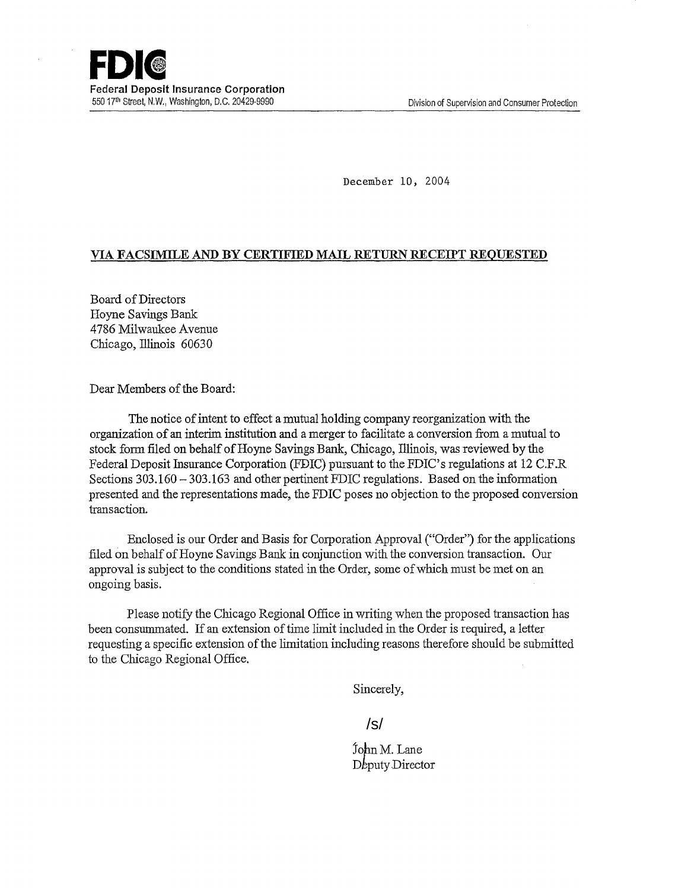December 10, 2004

## VIA, FACSINIILE AND BY CERTIFIED MAIL RETURN RECEIPT REQUESTED

Board of Directors Hoyne Savings Bank 4786 Milwaukee Avenue Chicago, Illinois 60630

Dear Members of the Board:

The notice of intent to effect a mutual holding company reorganization with the organization of an interim institution and a merger to facilitate a conversion from a mutual to stock form filed on behalf of Hoyne Savings Bank, Chicago, Illinois, was reviewed by the Federal Deposit Insurance Corporation (FDIC) pursuant to the FDIC's regulations at 12 C.F.R. Sections 303.160 — 303.163 and other pertinent FDIC regulations. Based on the information presented and the representations made, the FDIC poses no objection to the proposed conversion transaction.

Enclosed is our Order and Basis for Corporation Approval("Order") for the applications filed on behalf of Hoyne Savings Bank in conjunction with the conversion transaction. Our approval is subject to the conditions stated in the Order, some of which must be met on an ongoing basis.

Please notify the Chicago Regional Office in writing when the proposed transaction has been consummated. If an extension of time limit included in the Order is required, a letter requesting a specific extension of the limitation including reasons therefore should be submitted to the Chicago Regional Office.

Sincerely,

/s/

John M. Lane Deputy Director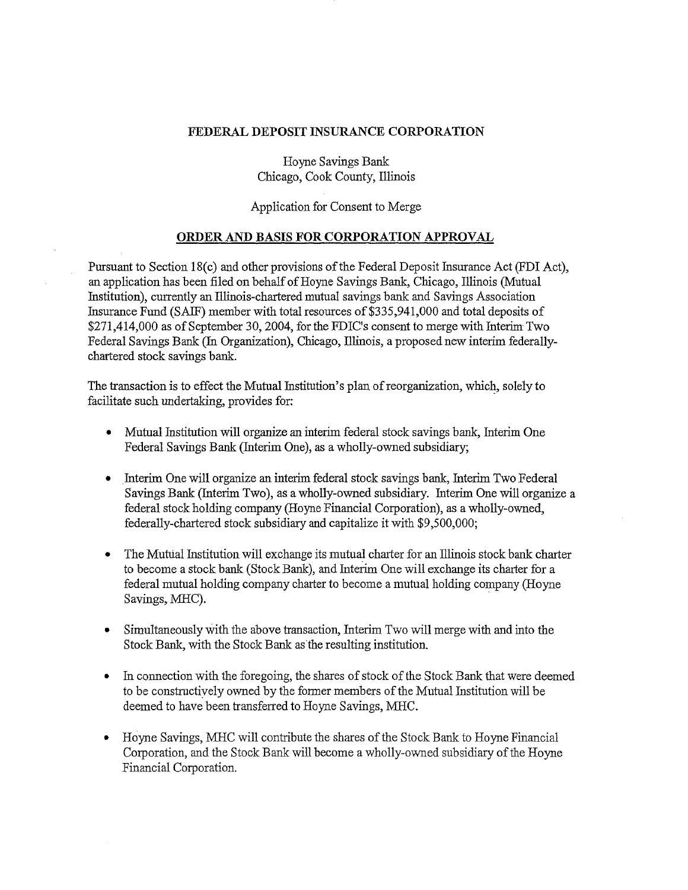## FEDERAL DEPOSIT INSURANCE CORPORATION

Hoyne Savings Bank Chicago, Cook County, Illinois

Application for Consent to Merge

## ORDER AND BASIS FOR CORPORATION APPROVAL

Pursuant to Section lS(c) and other provisions ofthe Federal Deposit Insurance Act (FDI Act), an application has been filed on behalf of Hoyne Savings Bank, Chicago, Illinois (Mutual Institution), currently an Illinois-chartered mutual savings bank and Savings Association Insurance Fund (SAIF) member with total resources of \$335,941,000 and total deposits of \$271,414,000 as of September 30, 2004, for the FDIC's consent to merge with Interim Two Federal Savings Bank (In Organization), Chicago, Illinois, a proposed new interim federallychartered stock savings bank.

The transaction is to effect the Mutual Institution's plan of reorganization, which, solely to facilitate such undertaking, provides for:

- Mutual Institution will organize an interim federal stock savings bank, Interim One Federal Savings Bank (Interim One), as a wholly-owned subsidiary;
- Interim One will organize an interim federal stock savings bank, Interim Two Federal Savings Bank (Interim Two), as a wholly-owned subsidiary. Interim One will organize a federal stock holding company (Hoyne Financial Corporation), as a wholly-owned, federally-chartered stock subsidiary and capitalize it with \$9 ,500,000;
- The Mutual Institution will exchange its mutual charter for an Illinois stock bank charter to become a stock bank (Stock Bank), and Interim One will exchange its charter for a federal mutual holding company charter to become a mutual holding company (Hoyne Savings, MHC).
- Simultaneously with the above transaction, Interim Two will merge with and into the Stock Bank, with the Stock Bank as the resulting institution.
- In connection with the foregoing, the shares of stock of the Stock Bank that were deemed to be constructively owned by the fanner members of the Mutual Institution will be deemed to have been transferred to Hoyne Savings, MHC.
- Hoyne Savings, MHC will contribute the shares of the Stock Bank to Hoyne Financial Corporation, and the Stock Bank will become a wholly-owned subsidiary of the Hoyne Financial Corporation.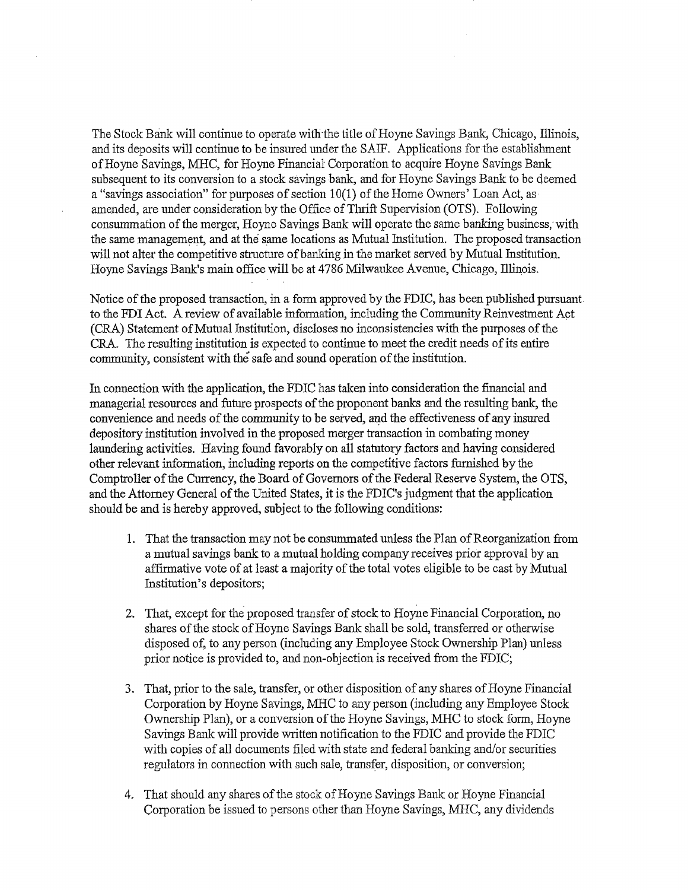The Stock Bank will continue to operate with the title of Hoyne Savings Bank, Chicago, lllinois, and its deposits will continue to be insured under the SAIF. Applications for the establishment of Hoyne Savings, MHC, for Hoyne Financial Corporation to acquire Hoyne Savings Bank subsequent to its conversion to a stock savings bank, and for Hoyne Savings Bank to be deemed a "savings association" for purposes of section  $10(1)$  of the Home Owners' Loan Act, as amended, are under consideration by the Office of Thrift Supervision (OTS). Following consummation of the merger, Hoyne Savings Bank will operate the same banking business; with the same management, and at the same locations as Mutual Institution. The proposed transaction will not alter the competitive structure of banking in the market served by Mutual Institution. Hoyne Savings Bank's main office will be at 4786 Milwaukee Avenue, Chicago, lllinois.

Notice of the proposed transaction, in a form approved by the FDIC, has been published pursuantto the FDI Act. A review of available information, including the Community Reinvestment Act (CRA) Statement of Mutual Institution, discloses no inconsistencies with the purposes of the CRA. The resulting institution is expected to continue to meet the credit needs of its entire community, consistent with the safe and sound operation of the institution.

In connection with the application, the FDIC has taken into consideration the financial and managerial resources and future prospects of the proponent banks and the resulting bank, the convenience and needs of the community to be setved, and the effectiveness of any insured depository institution involved in the proposed merger transaction in combating money laundering activities. Having found favorably on all statutory factors and having considered other relevant information, including reports on the competitive factors furnished by the Comptroller of the Currency, the Board of Governors of the Federal Reserve System, the OTS, and the Attorney General of the United States, it is the FDIC's judgment that the application should be and is hereby approved, subject to the following conditions:

- 1. That the transaction may not be consummated unless the Plan of Reorganization from a mutual savings bank to a mutual holding company receives prior approval by an affirmative vote of at least a majority of the total votes eligible to be cast by Mutual Institution's depositors;
- 2. That, except for the proposed transfer of stock to Hoyne Financial Corporation, no shares of the stock of Hoyne Savings Bank shall be sold, transferred or otherwise disposed of, to any person (including any Employee Stock Ownership Plan) unless prior notice is provided to, and non-objection is received from the FDIC;
- 3. That, prior to the sale, transfer, or other disposition of any shares of Hoyne Financial Corporation by Hoyne Savings, MHC to any person (including any Employee Stock Ownership Plan), or a conversion of the Hoyne Savings, MHC to stock form, Hoyne Savings Bank will provide written notification to the FDIC and provide the FDIC with copies of all documents filed with state and federal banking and/or securities regulators in connection with such sale, transfer, disposition, or conversion;
- 4. That should any shares of the stock of Hoyne Savings Bank or Hoyne Financial Corporation be issued to persons other than Hoyne Savings, MHC, any dividends